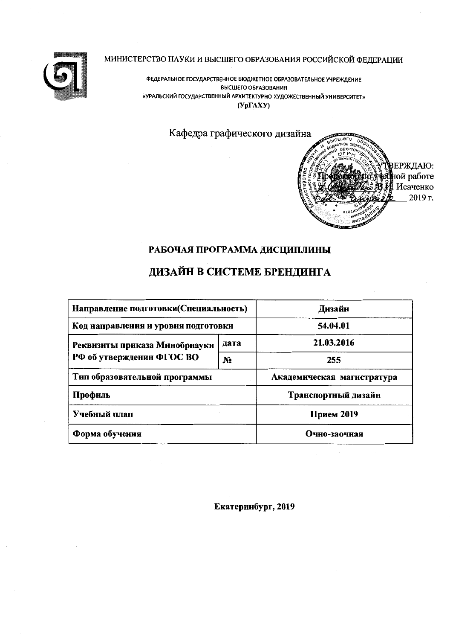

МИНИСТЕРСТВО НАУКИ И ВЫСШЕГО ОБРАЗОВАНИЯ РОССИЙСКОЙ ФЕДЕРАЦИИ

ФЕДЕРАЛЬНОЕ ГОСУДАРСТВЕННОЕ БЮДЖЕТНОЕ ОБРАЗОВАТЕЛЬНОЕ УЧРЕЖДЕНИЕ ВЫСШЕГО ОБРАЗОВАНИЯ «УРАЛЬСКИЙ ГОСУДАРСТВЕННЫЙ АРХИТЕКТУРНО-ХУДОЖЕСТВЕННЫЙ УНИВЕРСИТЕТ»  $(Yp\Gamma A X Y)$ 

Кафедра графического дизайна



# РАБОЧАЯ ПРОГРАММА ДИСЦИПЛИНЫ

# ДИЗАЙН В СИСТЕМЕ БРЕНДИНГА

| Направление подготовки(Специальность) | Днзайн         |                            |  |  |
|---------------------------------------|----------------|----------------------------|--|--|
| Код направления и уровня подготовки   | 54.04.01       |                            |  |  |
| Реквизиты приказа Минобрнауки         | дата           | 21.03.2016                 |  |  |
| РФ об утвержденин ФГОС ВО             | N <sub>2</sub> | 255                        |  |  |
| Тип образовательной программы         |                | Академическая магистратура |  |  |
| Профиль                               |                | Транспортный дизайн        |  |  |
| Учебный план                          | Прием 2019     |                            |  |  |
| Форма обучения                        | Очно-заочная   |                            |  |  |

Екатеринбург, 2019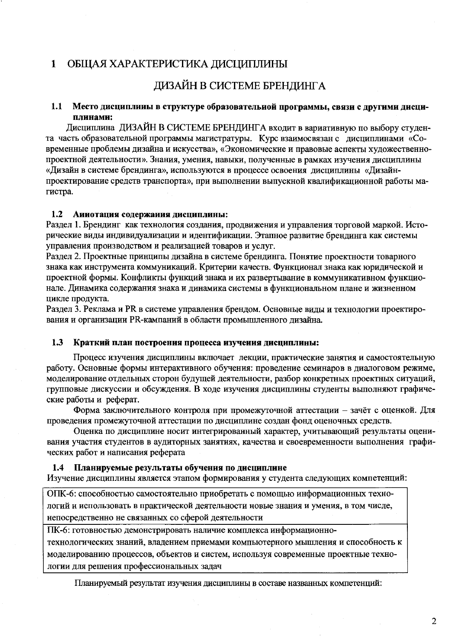#### $\mathbf{1}$ ОБЩАЯ ХАРАКТЕРИСТИКА ДИСЦИПЛИНЫ

# ДИЗАЙН В СИСТЕМЕ БРЕНДИНГА

#### $1.1$ Место дисциплины в структуре образовательной программы, связи с другими дисциплинами:

Дисциплина ДИЗАЙН В СИСТЕМЕ БРЕНДИНГА входит в вариативную по выбору студента часть образовательной программы магистратуры. Курс взаимосвязан с дисциплинами «Современные проблемы дизайна и искусства», «Экономические и правовые аспекты художественнопроектной деятельности». Знания, умения, навыки, полученные в рамках изучения дисциплины «Дизайн в системе брендинга», используются в процессе освоения дисциплины «Дизайнпроектирование средств транспорта», при выполнении выпускной квалификационной работы магистра.

#### $1.2$ Аииотация содержаиия дисциплины:

Раздел 1. Брендинг как технология создания, продвижения и управления торговой маркой. Исторические виды индивидуализации и идентификации. Этапное развитие брендинга как системы управления производством и реализацией товаров и услуг.

Раздел 2. Проектные принципы дизайна в системе брендинга. Понятие проектности товарного знака как инструмента коммуникаций. Критерии качеств. Функционал знака как юридической и проектной формы. Конфликты функций знака и их развертывание в коммуникативном функционале. Динамика содержания знака и динамика системы в функциональном плане и жизненном цикле продукта.

Раздел 3. Реклама и PR в системе управления брендом. Основные виды и технологии проектирования и организации PR-кампаний в области промышленного дизайна.

#### $1.3$ Краткий план построения процесса изучения дисциплины:

Процесс изучения дисциплины включает лекции, практические занятия и самостоятельную работу. Основные формы интерактивного обучения: проведение семинаров в диалоговом режиме, моделирование отдельных сторон будущей деятельности, разбор конкретных проектных ситуаций, групповые дискуссии и обсуждения. В ходе изучения дисциплины студенты выполняют графические работы и реферат.

Форма заключительного контроля при промежуточной аттестации - зачёт с оценкой. Для проведения промежуточной аттестации по дисциплине создан фонд оценочных средств.

Оценка по дисциплине носит интегрированный характер, учитывающий результаты оценивания участия студентов в аудиторных занятиях, качества и своевременности выполнения графических работ и написания реферата

#### Планируемые результаты обучения по дисциплине  $1.4$

Изучение дисциплины является этапом формирования у студента следующих компетенций:

ОПК-6: способностью самостоятельно приобретать с помощью информационных технологий и использовать в практической деятельности новые знания и умения, в том числе, непосредственно не связанных со сферой деятельности

ПК-6: готовностью демонстрировать наличие комплекса информационно-

технологических знаний, владением приемами компьютерного мышления и способность к моделированию процессов, объектов и систем, используя современные проектные технологии для решения профессиональных задач

Планируемый результат изучения дисциплины в составе названных компетенций: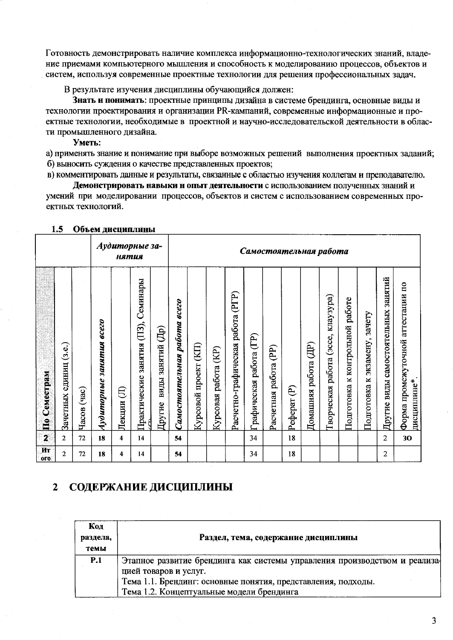Готовность демонстрировать наличие комплекса информационно-технологических знаний, владение приемами компьютерного мышления и способность к моделированию процессов, объектов и систем, используя современные проектные технологии для решения профессиональных задач.

В результате изучения дисциплины обучающийся должен:

Знать и понимать: проектные принципы дизайна в системе брендинга, основные виды и технологии проектирования и организации PR-кампаний, современные информационные и проектные технологии, необходимые в проектной и научно-исследовательской деятельности в области промышленного дизайна.

Уметь:

а) применять знание и понимание при выборе возможных решений выполнения проектных заданий; б) выносить суждения о качестве представленных проектов;

в) комментировать данные и результаты, связанные с областью изучения коллегам и преподавателю.

Демонстрировать навыки и опыт деятельности с использованием полученных знаний и умений при моделировании процессов, объектов и систем с использованием современных проектных технологий.

|                                 |                              |                      |                                | нятия                | Аудиторные за-                              |                                                    |                              | Самостоятельная работа  |                            |                                      |                                  |                          |              |                                           |                                             |                                    |                                        |                                             |                                                     |
|---------------------------------|------------------------------|----------------------|--------------------------------|----------------------|---------------------------------------------|----------------------------------------------------|------------------------------|-------------------------|----------------------------|--------------------------------------|----------------------------------|--------------------------|--------------|-------------------------------------------|---------------------------------------------|------------------------------------|----------------------------------------|---------------------------------------------|-----------------------------------------------------|
| Семестрам<br>$\mathbf{\hat{H}}$ | (3.e.)<br>единиц<br>Зачетных | $($ час $)$<br>Часов | 80650<br>занятия<br>Аудиторные | <b>(B)</b><br>Лекции | Семинары<br>(13)<br>занятия<br>Практические | $\overline{\text{H}}$<br>занятий<br>виды<br>Другие | Самостоятельная работа всего | (KI)<br>Курсовой проект | (KP)<br>работа<br>Курсовая | (PTP)<br>Расчетно-графическая работа | $(\Gamma)$<br>Графическая работа | (PP)<br>Расчетная работа | ව<br>Реферат | $\widehat{\mathrm{H}}$<br>Домашняя работа | клаузура)<br>(3CCE,<br>работа<br>Гворческая | к контрольной работе<br>Подготовка | зачету<br>экзамену,<br>Μ<br>Подготовка | занятий<br>виды самостоятельных<br>Другие 1 | аттестации по<br>Форма промежуточной<br>дисциплине* |
| $\mathbf{2}$                    | $\overline{2}$               | 72                   | 18                             | 4                    | 14                                          |                                                    | 54                           |                         |                            |                                      | 34                               |                          | 18           |                                           |                                             |                                    |                                        | $\overline{2}$                              | 30                                                  |
| Ит<br>0 <sub>0</sub>            | $\overline{2}$               | 72                   | 18                             | 4                    | 14                                          |                                                    | 54                           |                         |                            |                                      | 34                               |                          | 18           |                                           |                                             |                                    |                                        | $\overline{2}$                              |                                                     |

### 1.5 Объем дисциплины

#### СОДЕРЖАНИЕ ДИСЦИПЛИНЫ  $\overline{2}$

| Код<br>раздела,<br>темы | Раздел, тема, содержание дисциплины                                                                        |
|-------------------------|------------------------------------------------------------------------------------------------------------|
| P.1                     | Этапное развитие брендинга как системы управления производством и реализа-<br>цией товаров и услуг.        |
|                         | Тема 1.1. Брендинг: основные понятия, представления, подходы.<br>Тема 1.2. Концептуальные модели брендинга |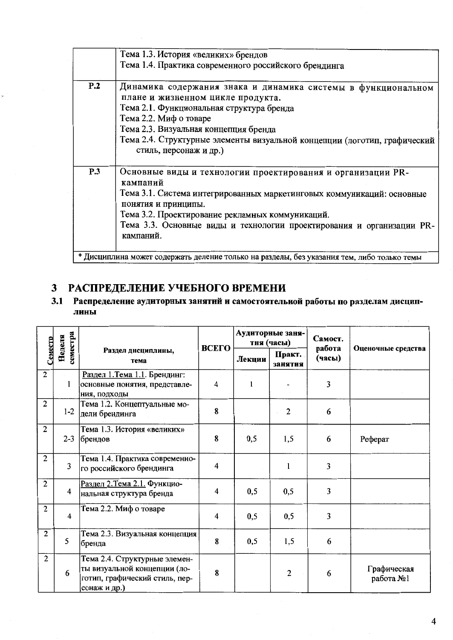|     | Тема 1.3. История «великих» брендов                                                        |
|-----|--------------------------------------------------------------------------------------------|
|     | Тема 1.4. Практика современного российского брендинга                                      |
|     |                                                                                            |
| P.2 | Динамика содержания знака и динамика системы в функциональном                              |
|     | плане и жизненном цикле продукта.                                                          |
|     | Тема 2.1. Функциональная структура бренда                                                  |
|     | Тема 2.2. Миф о товаре                                                                     |
|     | Тема 2.3. Визуальная концепция бренда                                                      |
|     | Тема 2.4. Структурные элементы визуальной концепции (логотип, графический                  |
|     | стиль, персонаж и др.)                                                                     |
|     |                                                                                            |
| P.3 | Основные виды и технологии проектирования и организации PR-                                |
|     | кампаний                                                                                   |
|     | Тема 3.1. Система интегрированных маркетинговых коммуникаций: основные                     |
|     | понятия и принципы.                                                                        |
|     | Тема 3.2. Проектирование рекламных коммуникаций.                                           |
|     | Тема 3.3. Основные виды и технологии проектирования и организации PR-                      |
|     | кампаний.                                                                                  |
|     |                                                                                            |
|     | * Дисциплина может содержать деление только на разделы, без указания тем, либо только темы |

# 3 РАСПРЕДЕЛЕНИЕ УЧЕБНОГО ВРЕМЕНИ

# 3.1 Распределение аудиторных занятий и самостоятельной работы по разделам дисциплины

| семестра<br>Неделя |                         |                                                                                                                 | ВСЕГО                   |        | Аудиторные заня-<br>тня (часы) | Самост.          |                          |  |
|--------------------|-------------------------|-----------------------------------------------------------------------------------------------------------------|-------------------------|--------|--------------------------------|------------------|--------------------------|--|
| Cemecro            |                         | Раздел днециплины,<br>тема                                                                                      |                         | Лекции | Практ.<br>занятия              | работа<br>(часы) | Оценочные средства       |  |
| $\overline{c}$     | $\mathbf{1}$            | Раздел 1. Тема 1.1. Брендинг:<br>основные понятия, представле-<br>ния, подходы                                  | 4                       | 1      |                                | 3                |                          |  |
| $\overline{2}$     | $1-2$                   | Тема 1.2. Концептуальные мо-<br> дели брендинга                                                                 | 8                       |        | $\overline{c}$                 | 6                |                          |  |
| $\overline{c}$     | $2 - 3$                 | Тема 1.3. История «великих»<br>брендов                                                                          | 8                       | 0,5    | 1,5                            | 6                | Реферат                  |  |
| $\overline{c}$     | 3                       | Тема 1.4. Практика современно-<br>го российского брендинга                                                      | $\overline{\mathbf{4}}$ |        | 1                              | 3                |                          |  |
| $\overline{2}$     | $\overline{\mathbf{4}}$ | Раздел 2. Тема 2.1. Функцио-<br>нальная структура бренда                                                        | 4                       | 0, 5   | 0,5                            | 3                |                          |  |
| $\overline{c}$     | 4                       | Тема 2.2. Миф о товаре                                                                                          | $\overline{\mathbf{4}}$ | 0,5    | 0,5                            | 3                |                          |  |
| $\overline{2}$     | 5                       | Тема 2.3. Визуальная концепция<br> бренда                                                                       | 8                       | 0, 5   | 1,5                            | 6                |                          |  |
| $\overline{2}$     | 6                       | Тема 2.4. Структурные элемен-<br>ты визуальной концепции (ло-<br>готип, графический стиль, пер-<br>сонаж и др.) | 8                       |        | 2                              | 6                | Графическая<br>работа №1 |  |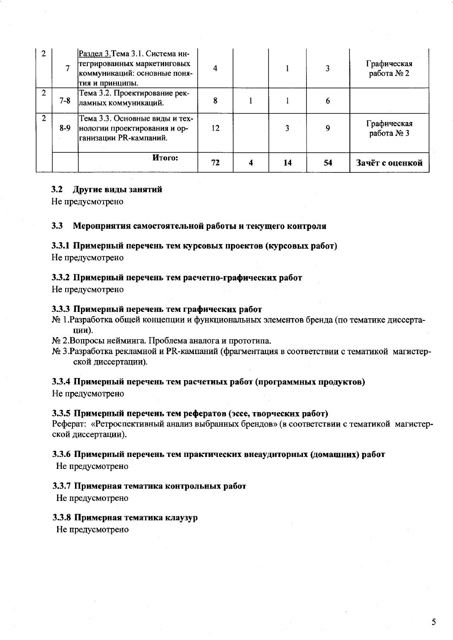| $\overline{2}$ |         | Раздел 3. Тема 3.1. Система ин-<br>тегрированных маркетинговых<br>коммуникаций: основные поня-<br>тия и принципы. |    |    |    | Графическая<br>работа № 2 |
|----------------|---------|-------------------------------------------------------------------------------------------------------------------|----|----|----|---------------------------|
| 2              | $7 - 8$ | Тема 3.2. Проектирование рек-<br>ламных коммуникаций.                                                             | 8  |    |    |                           |
| 2              | $8-9$   | Тема 3.3. Основные виды и тех-<br>нологии проектирования и ор-<br> ганизации PR-кампаний.                         | 12 |    |    | Графическая<br>работа № 3 |
|                |         | <b>H</b> roro:                                                                                                    | 72 | 14 | 54 | Зачёт с оценкой           |

### 3.2 Другие виды занятий

Не предусмотрено

#### $3.3$ Мероприятия самостоятельной работы и текущего контроля

### 3.3.1 Примерный перечень тем курсовых проектов (курсовых работ)

Не предусмотрено

### 3.3.2 Примерный перечень тем расчетно-графических работ

Не предусмотрено

## 3.3.3 Примерный перечень тем графических работ

- № 1. Разработка общей концепции и функциональных элементов бренда (по тематике диссертапии).
- № 2.Вопросы нейминга. Проблема аналога и прототипа.
- № 3. Разработка рекламной и PR-кампаний (фрагментация в соответствии с тематикой магистерской диссертации).

# 3.3.4 Примерный перечень тем расчетиых работ (программных продуктов)

Не предусмотрено

### 3.3.5 Примерный перечень тем рефератов (эссе, творческих работ)

Реферат: «Ретроспективный анализ выбранных брендов» (в соответствии с тематикой магистерской диссертации).

### 3.3.6 Примерный перечень тем практических внеаудиторных (домашних) работ

Не предусмотрено

### 3.3.7 Примерная тематика контрольных работ

Не предусмотрено

### 3.3.8 Примерная тематика клаузур

Не предусмотрено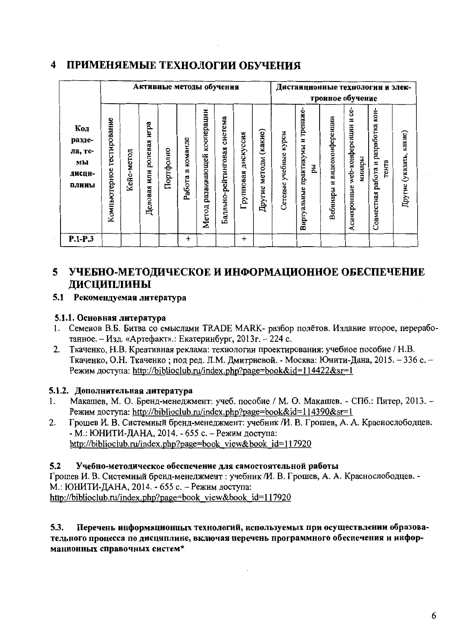#### $\boldsymbol{\Lambda}$ ПРИМЕНЯЕМЫЕ ТЕХНОЛОГИИ ОБУЧЕНИЯ

|                                                   |                              |            |                                | Активные методы обучения |                        |                                    |                                |                        |                             |                          | Дистанционные технологин и элек-           |                                   | тронное обучение                                    |                                                       |                         |
|---------------------------------------------------|------------------------------|------------|--------------------------------|--------------------------|------------------------|------------------------------------|--------------------------------|------------------------|-----------------------------|--------------------------|--------------------------------------------|-----------------------------------|-----------------------------------------------------|-------------------------------------------------------|-------------------------|
| Код<br>разде-<br>ла, те-<br>мы<br>дисци-<br>плииы | тестирование<br>Компьютерное | Кейс-метод | игра<br>или ролевая<br>Деловая | Портфолио                | команде<br>m<br>Работа | кооперации<br>развивающей<br>Meron | система<br>Балльно-рейтинговая | дискуссия<br>Групповая | (какие)<br>методы<br>Другие | учебные курсы<br>Сетевые | практикумы и тренаже-<br>ÄЦ<br>Виртуальные | видеоконференции<br>N<br>Вебинары | ငံ<br>z<br>web-конференции<br>минары<br>Асинхронные | KOH-<br>разработка<br>тента<br>работа и<br>Совместная | Другие (указать, какие) |
| $P.1-P.3$                                         |                              |            |                                |                          | $\ddag$                |                                    |                                | $\div$                 |                             |                          |                                            |                                   |                                                     |                                                       |                         |

### 5 УЧЕБНО-МЕТОДИЧЕСКОЕ И ИНФОРМАЦИОННОЕ ОБЕСПЕЧЕНИЕ **ЛИСЦИПЛИНЫ**

# 5.1 Рекомендуемая литература

# 5.1.1. Основная литература

- 1. Семенов В.Б. Битва со смыслами TRADE MARK- разбор полётов. Издание второе, переработанное. - Изд. «Артефакт».: Екатеринбург, 2013г. - 224 с.
- $2.$ Ткаченко, Н.В. Креативная реклама: технологии проектирования: учебное пособие / Н.В. Ткаченко, О.Н. Ткаченко; под ред. Л.М. Дмитриевой. - Москва: Юнити-Дана, 2015. - 336 с. -Режим доступа: http://biblioclub.ru/index.php?page=book&id=114422&sr=1

# 5.1.2. Дополнительная литература

- Макашев, М. О. Бренд-менеджмент: учеб. пособие / М. О. Макашев. СПб.: Питер, 2013. - $\mathbf{1}$ . Режим доступа: http://biblioclub.ru/index.php?page=book&id=114390&sr=1
- Грошев И. В. Системный бренд-менеджмент: учебник /И. В. Грошев, А. А. Краснослободцев.  $2.$ - М.: ЮНИТИ-ДАНА, 2014. - 655 с. - Режим доступа: http://biblioclub.ru/index.php?page=book view&book id=117920

#### $5.2$ Учебно-методическое обеспечение для самостоятельной работы

Грошев И. В. Системный бренд-менеджмент : учебник /И. В. Грошев, А. А. Краснослободцев. -М.: ЮНИТИ-ДАНА, 2014. - 655 с. - Режим доступа: http://biblioclub.ru/index.php?page=book view&book id=117920

### Перечень информационных технологий, используемых при осуществлении образова- $5.3.$ тельного процесса по дисциплине, включая перечень программного обеспечения и информационных справочных систем\*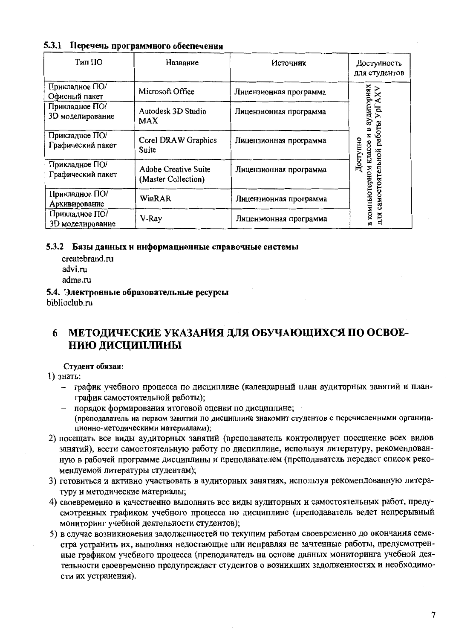# 5.3.1 Перечень программного обеспечения

| Тип ПО                              | Название                                    | Источник               | Доступность<br>для студентов             |
|-------------------------------------|---------------------------------------------|------------------------|------------------------------------------|
| Прикладное ПО/<br>Офисный пакет     | Microsoft Office                            | Лицензионная программа |                                          |
| Прикладное ПО/<br>3D моделирование  | Autodesk 3D Studio<br><b>MAX</b>            | Лицензионная программа | аудиториях<br>Ъď<br>≃                    |
| Прикладное ПО/<br>Графический пакет | Corel DRAW Graphics<br>Suite                | Лицензионная программа | работы<br>z<br>Доступно                  |
| Прикладное ПО/<br>Графический пакет | Adobe Creative Suite<br>(Master Collection) | Лицензионная программа | в компьютерном классе<br>самостоятельной |
| Прикладное ПО/<br>Архивирование     | WinRAR                                      | Лицензионная программа |                                          |
| Прикладное ПО/<br>3D моделирование  | V-Ray                                       | Лицензионная программа | для                                      |

## 5.3.2 Базы данных и информационные справочные системы

- createbrand.ru advi.ru adme.ru
- 5.4. Электронные образовательные ресурсы biblioclub.ru

### МЕТОДИЧЕСКИЕ УКАЗАНИЯ ДЛЯ ОБУЧАЮЩИХСЯ ПО ОСВОЕ-6 НИЮ ДИСЦИПЛИНЫ

## Студент обязан:

1) знать:

- график учебного процесса по дисциплине (календарный план аудиторных занятий и планграфик самостоятельной работы);
- порядок формирования итоговой оценки по дисциплине; (преподаватель на первом занятии по дисциплине знакомит студентов с перечисленными организационно-методическими материалами);
- 2) посещать все виды аудиторных занятий (преподаватель контролирует посещение всех видов занятий), вести самостоятельную работу по дисциплине, используя литературу, рекомендованную в рабочей программе дисциплины и преподавателем (преподаватель передает список рекомендуемой литературы студентам);
- 3) готовиться и активно участвовать в аудиторных занятиях, используя рекомендованную литературу и методические материалы;
- 4) своевременно и качественно выполнять все виды аудиторных и самостоятельных работ, предусмотренных графиком учебного процесса по дисциплине (преподаватель ведет непрерывный мониторинг учебной деятельности студентов);
- 5) в случае возникновения задолженностей по текущим работам своевременно до окончания семестра устранить их, выполняя недостающие или исправляя не зачтенные работы, предусмотренные графиком учебного процесса (преподаватель на основе данных мониторинга учебной деятельности своевременно предупреждает студентов о возникших задолженностях и необходимости их устранения).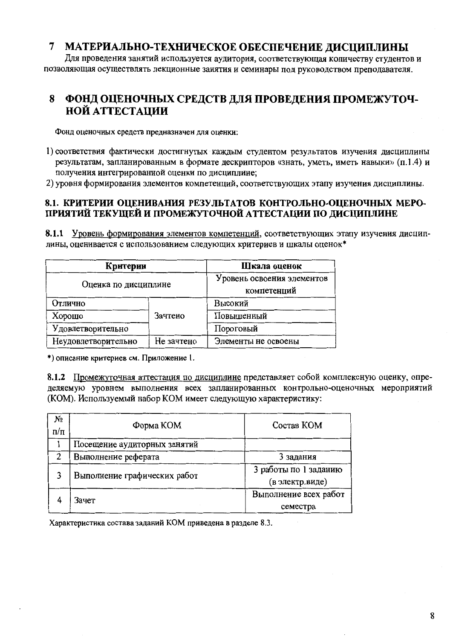#### $\overline{7}$ МАТЕРИАЛЬНО-ТЕХНИЧЕСКОЕ ОБЕСПЕЧЕНИЕ ЛИСЦИПЛИНЫ

Для проведения занятий используется аудитория, соответствующая количеству студентов и позволяющая осуществлять лекционные занятия и семинары под руководством преподавателя.

### ФОНД ОЦЕНОЧНЫХ СРЕДСТВ ДЛЯ ПРОВЕДЕНИЯ ПРОМЕЖУТОЧ- $\mathbf{R}$ НОЙ АТТЕСТАЦИИ

Фонд оценочных средств предназначен для оценки:

1) соответствия фактически достигнутых каждым студентом результатов изучения дисциплины результатам, запланированным в формате дескрипторов «знать, уметь, иметь навыки» (п.1.4) и получения интегрированной оценки по дисциплине;

2) уровня формирования элементов компетенций, соответствующих этапу изучения дисциплины.

# 8.1. КРИТЕРИИ ОШЕНИВАНИЯ РЕЗУЛЬТАТОВ КОНТРОЛЬНО-ОШЕНОЧНЫХ МЕРО-ПРИЯТИЙ ТЕКУЩЕЙ И ПРОМЕЖУТОЧНОЙ АТТЕСТАЦИИ ПО ЛИСЦИПЛИНЕ

8.1.1 Уровень формирования элементов компетенций, соответствующих этапу изучения дисциплины, оценивается с использованием следующих критериев и шкалы оценок\*

| Критерии             |                                           | Шкала оценок |  |  |
|----------------------|-------------------------------------------|--------------|--|--|
| Оценка по дисциплине | Уровень освоения элементов<br>компетенций |              |  |  |
| Отлично              |                                           | Высокий      |  |  |
| Хорошо               | Зачтено                                   | Повышенный   |  |  |
| Удовлетворительно    |                                           | Пороговый    |  |  |
| Неудовлетворительно  | Элементы не освоены                       |              |  |  |

\*) описание критериев см. Приложение 1.

8.1.2 Промежуточная аттестация по дисциплине представляет собой комплексную оценку, определяемую уровнем выполнения всех запланированных контрольно-оценочных мероприятий (КОМ). Используемый набор КОМ имеет следующую характеристику:

| N₫<br>$\pi/\pi$ | Форма КОМ                    | Состав КОМ                               |
|-----------------|------------------------------|------------------------------------------|
|                 | Посещение аудиторных занятий |                                          |
|                 | Выполнение реферата          | 3 задания                                |
|                 | Выполнение графических работ | 3 работы по 1 заданию<br>(в электр.виде) |
|                 | Зачет                        | Выполнение всех работ<br>семестра        |

Характеристика состава заданий КОМ приведена в разделе 8.3.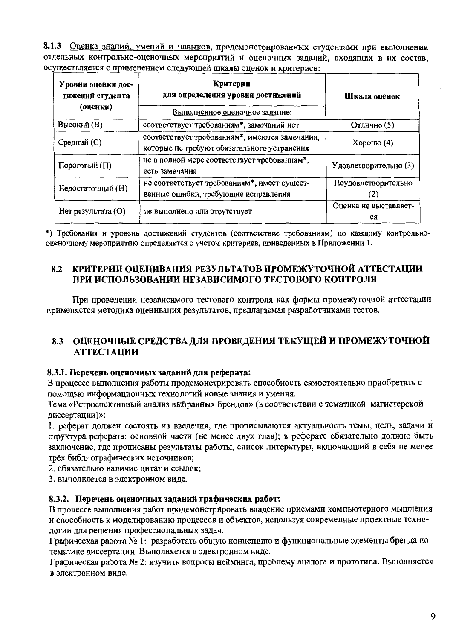8.1.3 Оценка знаний, умений и навыков, продемонстрированных студентами при выполнении отдельных контрольно-оценочных мероприятий и оценочных заданий, входящих в их состав, осуществляется с применением следующей шкалы оценок и критериев:

| Уровии оценки дос-<br>тижений студента<br>(оценкн) | Критерии<br>для определения уровия достижений<br>Выполненное оценочное задание:               | Шкала оценок          |
|----------------------------------------------------|-----------------------------------------------------------------------------------------------|-----------------------|
| Высокий (В)                                        | соответствует требованиям*, замечаний нет                                                     | Отлично (5)           |
| Средний (С)                                        | соответствует требованиям*, имеются замечания,<br>которые не требуют обязательного устранения | Хорошо $(4)$          |
| Пороговый (П)                                      | не в полной мере соответствует требованиям*,<br>есть замечания                                | Удовлетворительно (3) |
| Недостаточный (Н)                                  | не соответствует требованиям*, имеет сущест-                                                  | Неудовлетворительно   |
|                                                    | венные ошибки, требующие исправления                                                          | <b>Z</b>              |
| Нет результата (O)                                 | не выполнено или отсутствует                                                                  | Оценка не выставляет- |
|                                                    |                                                                                               | CЯ                    |

\*) Требования и уровень достижений студентов (соответствие требованиям) по каждому контрольнооценочному мероприятию определяется с учетом критериев, приведенных в Приложении 1.

#### КРИТЕРИИ ОПЕНИВАНИЯ РЕЗУЛЬТАТОВ ПРОМЕЖУТОЧНОЙ АТТЕСТАЦИИ 8.2 ПРИ ИСПОЛЬЗОВАНИИ НЕЗАВИСИМОГО ТЕСТОВОГО КОНТРОЛЯ

При проведении независимого тестового контроля как формы промежуточной аттестации применяется методика оценивания результатов, предлагаемая разработчиками тестов.

# 8.3 ОЦЕНОЧНЫЕ СРЕДСТВА ДЛЯ ПРОВЕДЕНИЯ ТЕКУЩЕЙ И ПРОМЕЖУТОЧНОЙ **АТТЕСТАЦИИ**

# 8.3.1. Перечень оценочных заданий для реферата:

В процессе выполнения работы продемонстрировать способность самостоятельно приобретать с помощью информационных технологий новые знания и умения.

Тема «Ретроспективный анализ выбранных брендов» (в соответствии с тематикой магистерской диссертации)»:

1. реферат должен состоять из введения, где прописываются актуальность темы, цель, задачи и структура реферата; основной части (не менее двух глав); в реферате обязательно должно быть заключение, где прописаны результаты работы, список литературы, включающий в себя не менее трёх библиографических источников;

2. обязательно наличие цитат и ссылок;

3. выполняется в электронном виде.

# 8.3.2. Перечень оценочных заданий графических работ:

В процессе выполнения работ продемонстрировать владение приемами компьютерного мышления и способность к моделированию процессов и объектов, используя современные проектные технологии для решения профессиональных задач.

Графическая работа № 1: разработать общую концепцию и функциональные элементы бренда по тематике диссертации. Выполняется в электронном виде.

Графическая работа № 2: изучить вопросы нейминга, проблему аналога и прототипа. Выполняется в электронном виде.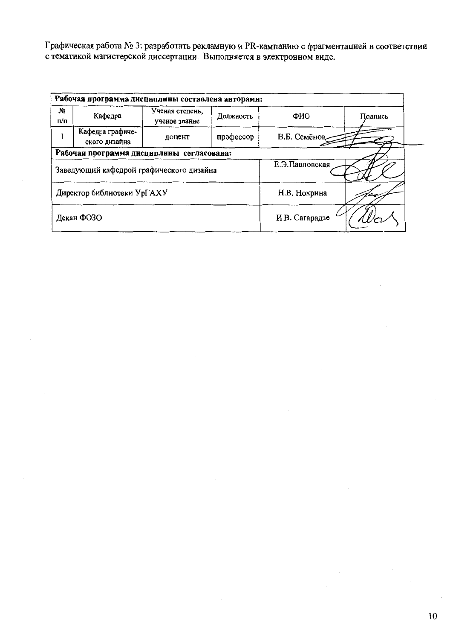Графическая работа № 3: разработать рекламную и PR-кампанию с фрагментацией в соответствии с тематикой магистерской диссертации. Выполняется в электронном виде.

|                                    | Рабочая программа дисциплины составлена авторами: |                                  |           |                |  |  |  |  |  |  |
|------------------------------------|---------------------------------------------------|----------------------------------|-----------|----------------|--|--|--|--|--|--|
| Nº.<br>$\mathfrak{n}/\mathfrak{n}$ | Кафедра                                           | Ученая степень,<br>ученое звание | ФИО       | Подпись        |  |  |  |  |  |  |
|                                    | Кафедра графиче-<br>ского дизайна                 | доцент                           | профессор | В.Б. Семёнов   |  |  |  |  |  |  |
|                                    | Рабочая программа дисциплины согласована:         |                                  |           |                |  |  |  |  |  |  |
|                                    | Заведующий кафедрой графического дизайна          |                                  |           | Е.Э.Павловская |  |  |  |  |  |  |
|                                    | Директор библиотеки УрГАХУ                        |                                  |           | Н.В. Нохрина   |  |  |  |  |  |  |
|                                    | Декан ФОЗО                                        |                                  |           | И.В. Сагарадзе |  |  |  |  |  |  |